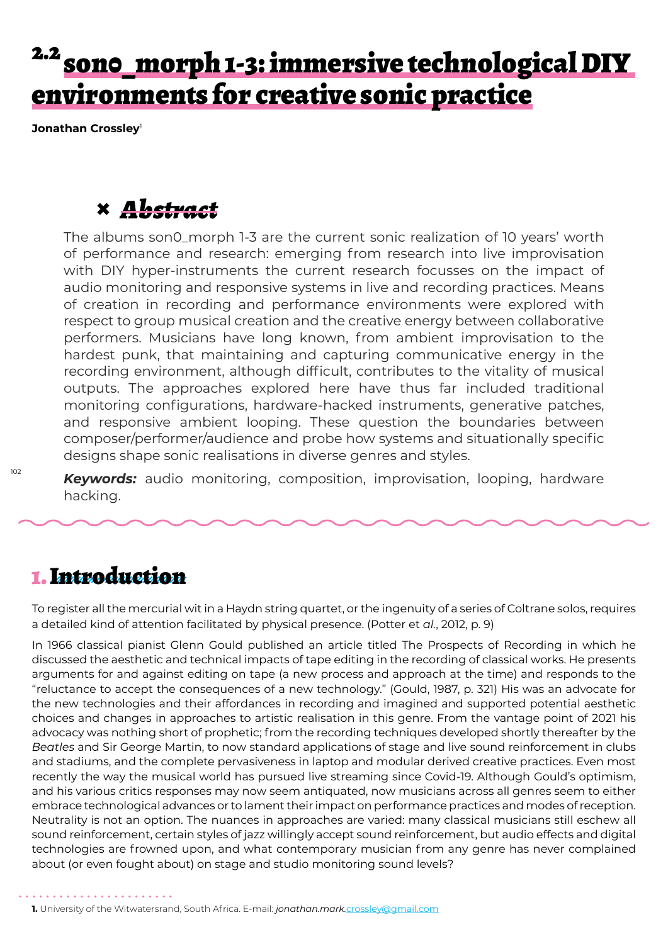# <sup>2.2</sup> son0\_morph 1-3: immersive technological DIY environments for creative sonic practice

**Jonathan Crossley**<sup>1</sup>

### **×** *Abstract*

The albums son0\_morph 1-3 are the current sonic realization of 10 years' worth of performance and research: emerging from research into live improvisation with DIY hyper-instruments the current research focusses on the impact of audio monitoring and responsive systems in live and recording practices. Means of creation in recording and performance environments were explored with respect to group musical creation and the creative energy between collaborative performers. Musicians have long known, from ambient improvisation to the hardest punk, that maintaining and capturing communicative energy in the recording environment, although difficult, contributes to the vitality of musical outputs. The approaches explored here have thus far included traditional monitoring configurations, hardware-hacked instruments, generative patches, and responsive ambient looping. These question the boundaries between composer/performer/audience and probe how systems and situationally specific designs shape sonic realisations in diverse genres and styles.

*Keywords:* audio monitoring, composition, improvisation, looping, hardware hacking.

### 1. Introduction

To register all the mercurial wit in a Haydn string quartet, or the ingenuity of a series of Coltrane solos, requires a detailed kind of attention facilitated by physical presence. (Potter et *al.*, 2012, p. 9)

In 1966 classical pianist Glenn Gould published an article titled The Prospects of Recording in which he discussed the aesthetic and technical impacts of tape editing in the recording of classical works. He presents arguments for and against editing on tape (a new process and approach at the time) and responds to the "reluctance to accept the consequences of a new technology." (Gould, 1987, p. 321) His was an advocate for the new technologies and their affordances in recording and imagined and supported potential aesthetic choices and changes in approaches to artistic realisation in this genre. From the vantage point of 2021 his advocacy was nothing short of prophetic; from the recording techniques developed shortly thereafter by the *Beatles* and Sir George Martin, to now standard applications of stage and live sound reinforcement in clubs and stadiums, and the complete pervasiveness in laptop and modular derived creative practices. Even most recently the way the musical world has pursued live streaming since Covid-19. Although Gould's optimism, and his various critics responses may now seem antiquated, now musicians across all genres seem to either embrace technological advances or to lament their impact on performance practices and modes of reception. Neutrality is not an option. The nuances in approaches are varied: many classical musicians still eschew all sound reinforcement, certain styles of jazz willingly accept sound reinforcement, but audio effects and digital technologies are frowned upon, and what contemporary musician from any genre has never complained about (or even fought about) on stage and studio monitoring sound levels?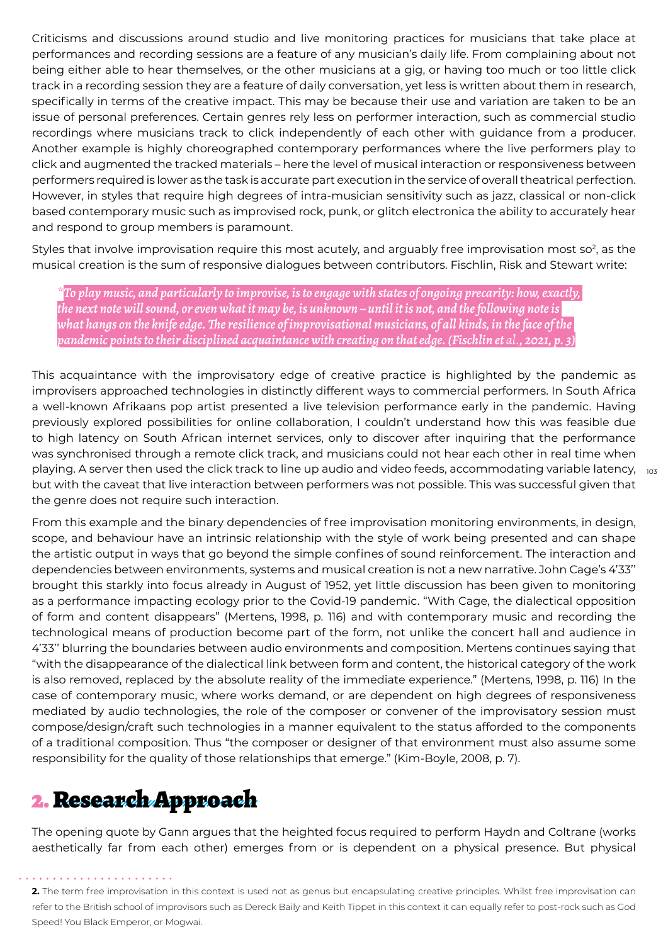Criticisms and discussions around studio and live monitoring practices for musicians that take place at performances and recording sessions are a feature of any musician's daily life. From complaining about not being either able to hear themselves, or the other musicians at a gig, or having too much or too little click track in a recording session they are a feature of daily conversation, yet less is written about them in research, specifically in terms of the creative impact. This may be because their use and variation are taken to be an issue of personal preferences. Certain genres rely less on performer interaction, such as commercial studio recordings where musicians track to click independently of each other with guidance from a producer. Another example is highly choreographed contemporary performances where the live performers play to click and augmented the tracked materials – here the level of musical interaction or responsiveness between performers required is lower as the task is accurate part execution in the service of overall theatrical perfection. However, in styles that require high degrees of intra-musician sensitivity such as jazz, classical or non-click based contemporary music such as improvised rock, punk, or glitch electronica the ability to accurately hear and respond to group members is paramount.

Styles that involve improvisation require this most acutely, and arguably free improvisation most so<sup>2</sup>, as the musical creation is the sum of responsive dialogues between contributors. Fischlin, Risk and Stewart write:

*\*To play music, and particularly to improvise, is to engage with states of ongoing precarity: how, exactly, the next note will sound, or even what it may be, is unknown – until it is not, and the following note is what hangs on the knife edge. The resilience of improvisational musicians, of all kinds, in the face of the pandemic points to their disciplined acquaintance with creating on that edge. (Fischlin et al., 2021, p. 3)*

playing. A server then used the click track to line up audio and video feeds, accommodating variable latency,  $_{\rm 102}$ This acquaintance with the improvisatory edge of creative practice is highlighted by the pandemic as improvisers approached technologies in distinctly different ways to commercial performers. In South Africa a well-known Afrikaans pop artist presented a live television performance early in the pandemic. Having previously explored possibilities for online collaboration, I couldn't understand how this was feasible due to high latency on South African internet services, only to discover after inquiring that the performance was synchronised through a remote click track, and musicians could not hear each other in real time when but with the caveat that live interaction between performers was not possible. This was successful given that the genre does not require such interaction.

From this example and the binary dependencies of free improvisation monitoring environments, in design, scope, and behaviour have an intrinsic relationship with the style of work being presented and can shape the artistic output in ways that go beyond the simple confines of sound reinforcement. The interaction and dependencies between environments, systems and musical creation is not a new narrative. John Cage's 4'33'' brought this starkly into focus already in August of 1952, yet little discussion has been given to monitoring as a performance impacting ecology prior to the Covid-19 pandemic. "With Cage, the dialectical opposition of form and content disappears" (Mertens, 1998, p. 116) and with contemporary music and recording the technological means of production become part of the form, not unlike the concert hall and audience in 4'33'' blurring the boundaries between audio environments and composition. Mertens continues saying that "with the disappearance of the dialectical link between form and content, the historical category of the work is also removed, replaced by the absolute reality of the immediate experience." (Mertens, 1998, p. 116) In the case of contemporary music, where works demand, or are dependent on high degrees of responsiveness mediated by audio technologies, the role of the composer or convener of the improvisatory session must compose/design/craft such technologies in a manner equivalent to the status afforded to the components of a traditional composition. Thus "the composer or designer of that environment must also assume some responsibility for the quality of those relationships that emerge." (Kim-Boyle, 2008, p. 7).

## 2. Research Approach

The opening quote by Gann argues that the heighted focus required to perform Haydn and Coltrane (works aesthetically far from each other) emerges from or is dependent on a physical presence. But physical

**<sup>2.</sup>** The term free improvisation in this context is used not as genus but encapsulating creative principles. Whilst free improvisation can refer to the British school of improvisors such as Dereck Baily and Keith Tippet in this context it can equally refer to post-rock such as God Speed! You Black Emperor, or Mogwai.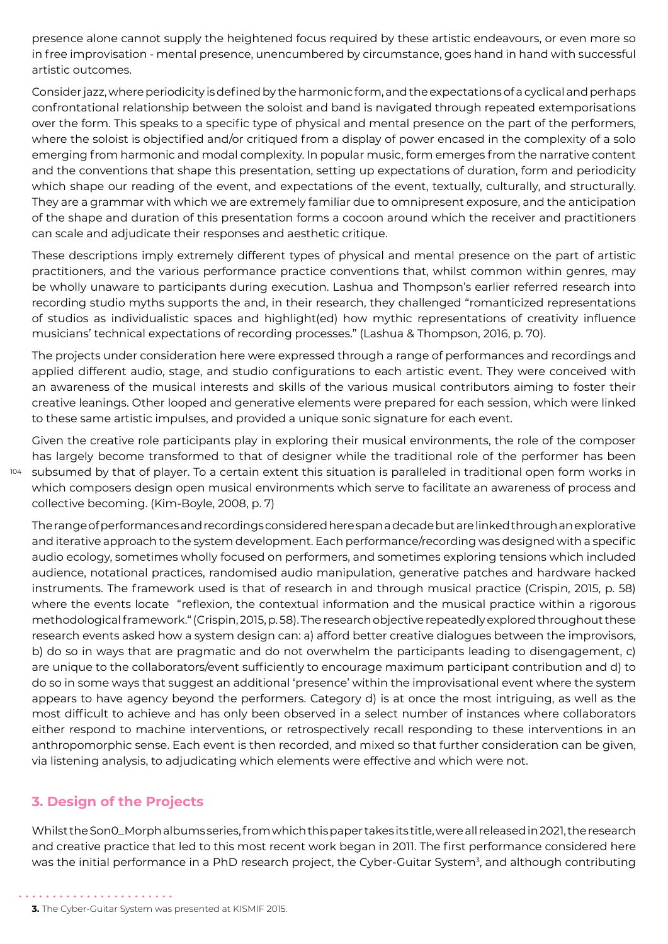presence alone cannot supply the heightened focus required by these artistic endeavours, or even more so in free improvisation - mental presence, unencumbered by circumstance, goes hand in hand with successful artistic outcomes.

Consider jazz, where periodicity is defined by the harmonic form, and the expectations of a cyclical and perhaps confrontational relationship between the soloist and band is navigated through repeated extemporisations over the form. This speaks to a specific type of physical and mental presence on the part of the performers, where the soloist is objectified and/or critiqued from a display of power encased in the complexity of a solo emerging from harmonic and modal complexity. In popular music, form emerges from the narrative content and the conventions that shape this presentation, setting up expectations of duration, form and periodicity which shape our reading of the event, and expectations of the event, textually, culturally, and structurally. They are a grammar with which we are extremely familiar due to omnipresent exposure, and the anticipation of the shape and duration of this presentation forms a cocoon around which the receiver and practitioners can scale and adjudicate their responses and aesthetic critique.

These descriptions imply extremely different types of physical and mental presence on the part of artistic practitioners, and the various performance practice conventions that, whilst common within genres, may be wholly unaware to participants during execution. Lashua and Thompson's earlier referred research into recording studio myths supports the and, in their research, they challenged "romanticized representations of studios as individualistic spaces and highlight(ed) how mythic representations of creativity influence musicians' technical expectations of recording processes." (Lashua & Thompson, 2016, p. 70).

The projects under consideration here were expressed through a range of performances and recordings and applied different audio, stage, and studio configurations to each artistic event. They were conceived with an awareness of the musical interests and skills of the various musical contributors aiming to foster their creative leanings. Other looped and generative elements were prepared for each session, which were linked to these same artistic impulses, and provided a unique sonic signature for each event.

104 subsumed by that of player. To a certain extent this situation is paralleled in traditional open form works in Given the creative role participants play in exploring their musical environments, the role of the composer has largely become transformed to that of designer while the traditional role of the performer has been which composers design open musical environments which serve to facilitate an awareness of process and collective becoming. (Kim-Boyle, 2008, p. 7)

The range of performances and recordings considered here span a decade but are linked through an explorative and iterative approach to the system development. Each performance/recording was designed with a specific audio ecology, sometimes wholly focused on performers, and sometimes exploring tensions which included audience, notational practices, randomised audio manipulation, generative patches and hardware hacked instruments. The framework used is that of research in and through musical practice (Crispin, 2015, p. 58) where the events locate "reflexion, the contextual information and the musical practice within a rigorous methodological framework." (Crispin, 2015, p. 58). The research objective repeatedly explored throughout these research events asked how a system design can: a) afford better creative dialogues between the improvisors, b) do so in ways that are pragmatic and do not overwhelm the participants leading to disengagement, c) are unique to the collaborators/event sufficiently to encourage maximum participant contribution and d) to do so in some ways that suggest an additional 'presence' within the improvisational event where the system appears to have agency beyond the performers. Category d) is at once the most intriguing, as well as the most difficult to achieve and has only been observed in a select number of instances where collaborators either respond to machine interventions, or retrospectively recall responding to these interventions in an anthropomorphic sense. Each event is then recorded, and mixed so that further consideration can be given, via listening analysis, to adjudicating which elements were effective and which were not.

### **3. Design of the Projects**

Whilst the Son0\_Morph albums series, from which this paper takes its title, were all released in 2021, the research and creative practice that led to this most recent work began in 2011. The first performance considered here was the initial performance in a PhD research project, the Cyber-Guitar System<sup>3</sup>, and although contributing

**<sup>3.</sup>** The Cyber-Guitar System was presented at KISMIF 2015.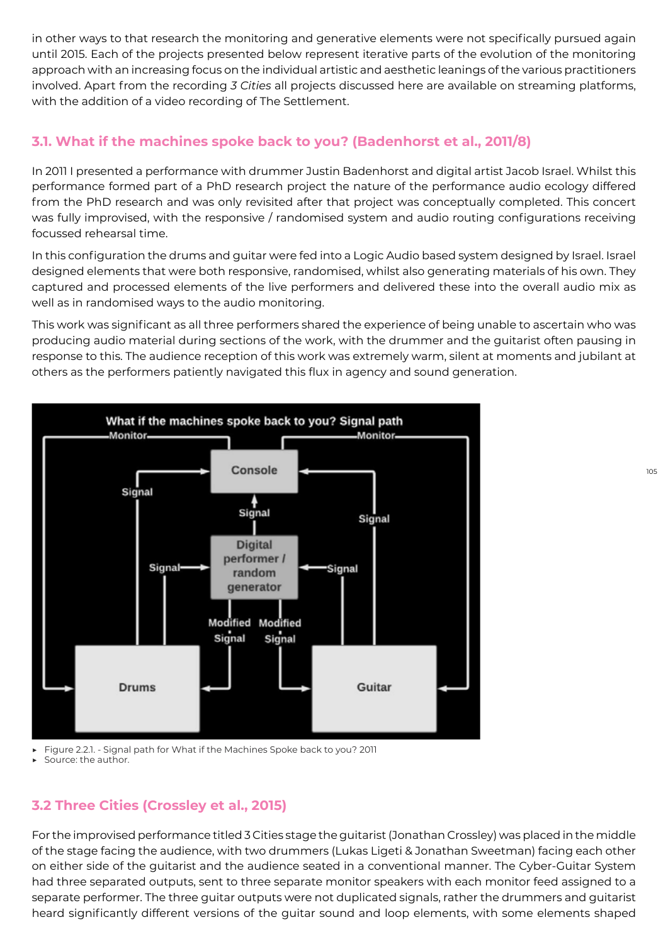in other ways to that research the monitoring and generative elements were not specifically pursued again until 2015. Each of the projects presented below represent iterative parts of the evolution of the monitoring approach with an increasing focus on the individual artistic and aesthetic leanings of the various practitioners involved. Apart from the recording *3 Cities* all projects discussed here are available on streaming platforms, with the addition of a video recording of The Settlement.

### **3.1. What if the machines spoke back to you? (Badenhorst et al., 2011/8)**

In 2011 I presented a performance with drummer Justin Badenhorst and digital artist Jacob Israel. Whilst this performance formed part of a PhD research project the nature of the performance audio ecology differed from the PhD research and was only revisited after that project was conceptually completed. This concert was fully improvised, with the responsive / randomised system and audio routing configurations receiving focussed rehearsal time.

In this configuration the drums and guitar were fed into a Logic Audio based system designed by Israel. Israel designed elements that were both responsive, randomised, whilst also generating materials of his own. They captured and processed elements of the live performers and delivered these into the overall audio mix as well as in randomised ways to the audio monitoring.

This work was significant as all three performers shared the experience of being unable to ascertain who was producing audio material during sections of the work, with the drummer and the guitarist often pausing in response to this. The audience reception of this work was extremely warm, silent at moments and jubilant at others as the performers patiently navigated this flux in agency and sound generation.



Figure 2.2.1. - Signal path for What if the Machines Spoke back to you? 2011

Source: the author.

### **3.2 Three Cities (Crossley et al., 2015)**

For the improvised performance titled 3 Cities stage the guitarist (Jonathan Crossley) was placed in the middle of the stage facing the audience, with two drummers (Lukas Ligeti & Jonathan Sweetman) facing each other on either side of the guitarist and the audience seated in a conventional manner. The Cyber-Guitar System had three separated outputs, sent to three separate monitor speakers with each monitor feed assigned to a separate performer. The three guitar outputs were not duplicated signals, rather the drummers and guitarist heard significantly different versions of the guitar sound and loop elements, with some elements shaped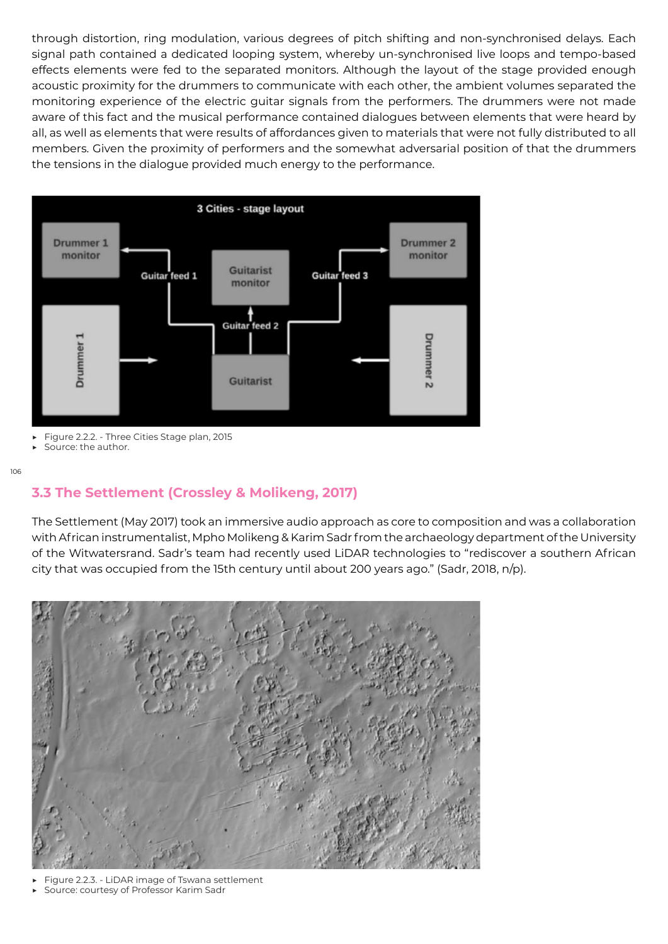through distortion, ring modulation, various degrees of pitch shifting and non-synchronised delays. Each signal path contained a dedicated looping system, whereby un-synchronised live loops and tempo-based effects elements were fed to the separated monitors. Although the layout of the stage provided enough acoustic proximity for the drummers to communicate with each other, the ambient volumes separated the monitoring experience of the electric guitar signals from the performers. The drummers were not made aware of this fact and the musical performance contained dialogues between elements that were heard by all, as well as elements that were results of affordances given to materials that were not fully distributed to all members. Given the proximity of performers and the somewhat adversarial position of that the drummers the tensions in the dialogue provided much energy to the performance.



Figure 2.2.2. - Three Cities Stage plan, 2015

Source: the author.

106

### **3.3 The Settlement (Crossley & Molikeng, 2017)**

The Settlement (May 2017) took an immersive audio approach as core to composition and was a collaboration with African instrumentalist, Mpho Molikeng & Karim Sadr from the archaeology department of the University of the Witwatersrand. Sadr's team had recently used LiDAR technologies to "rediscover a southern African city that was occupied from the 15th century until about 200 years ago." (Sadr, 2018, n/p).



- Figure 2.2.3. LiDAR image of Tswana settlement
- Source: courtesy of Professor Karim Sadr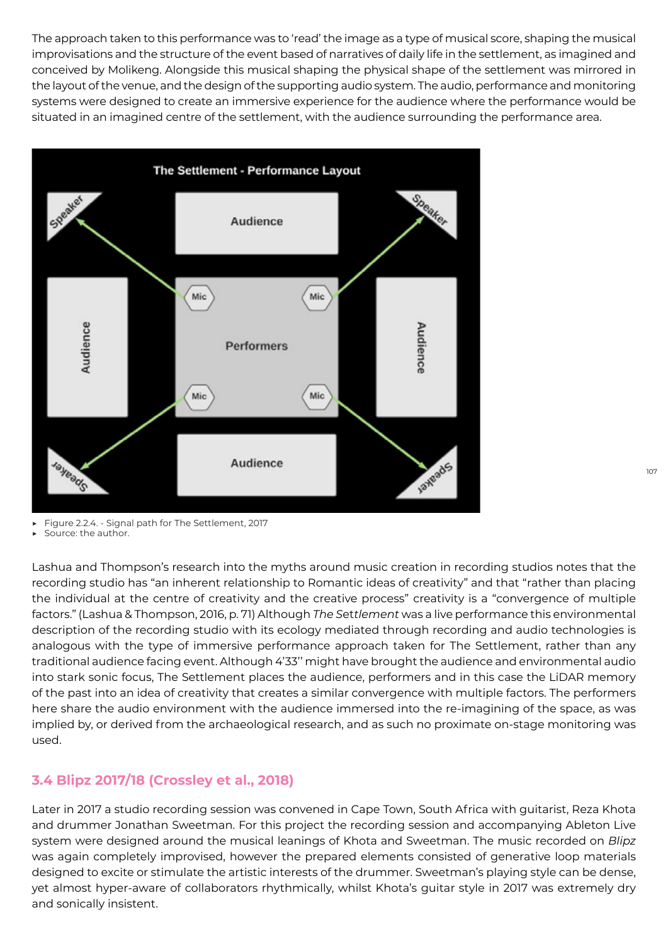The approach taken to this performance was to 'read' the image as a type of musical score, shaping the musical improvisations and the structure of the event based of narratives of daily life in the settlement, as imagined and conceived by Molikeng. Alongside this musical shaping the physical shape of the settlement was mirrored in the layout of the venue, and the design of the supporting audio system. The audio, performance and monitoring systems were designed to create an immersive experience for the audience where the performance would be situated in an imagined centre of the settlement, with the audience surrounding the performance area.



<sup>▶</sup> Figure 2.2.4. - Signal path for The Settlement, 2017

Source: the author.

Lashua and Thompson's research into the myths around music creation in recording studios notes that the recording studio has "an inherent relationship to Romantic ideas of creativity" and that "rather than placing the individual at the centre of creativity and the creative process" creativity is a "convergence of multiple factors." (Lashua & Thompson, 2016, p. 71) Although *The S*et*tlement* was a live performance this environmental description of the recording studio with its ecology mediated through recording and audio technologies is analogous with the type of immersive performance approach taken for The Settlement, rather than any traditional audience facing event. Although 4'33'' might have brought the audience and environmental audio into stark sonic focus, The Settlement places the audience, performers and in this case the LiDAR memory of the past into an idea of creativity that creates a similar convergence with multiple factors. The performers here share the audio environment with the audience immersed into the re-imagining of the space, as was implied by, or derived from the archaeological research, and as such no proximate on-stage monitoring was used.

### **3.4 Blipz 2017/18 (Crossley et al., 2018)**

Later in 2017 a studio recording session was convened in Cape Town, South Africa with guitarist, Reza Khota and drummer Jonathan Sweetman. For this project the recording session and accompanying Ableton Live system were designed around the musical leanings of Khota and Sweetman. The music recorded on *Blipz* was again completely improvised, however the prepared elements consisted of generative loop materials designed to excite or stimulate the artistic interests of the drummer. Sweetman's playing style can be dense, yet almost hyper-aware of collaborators rhythmically, whilst Khota's guitar style in 2017 was extremely dry and sonically insistent.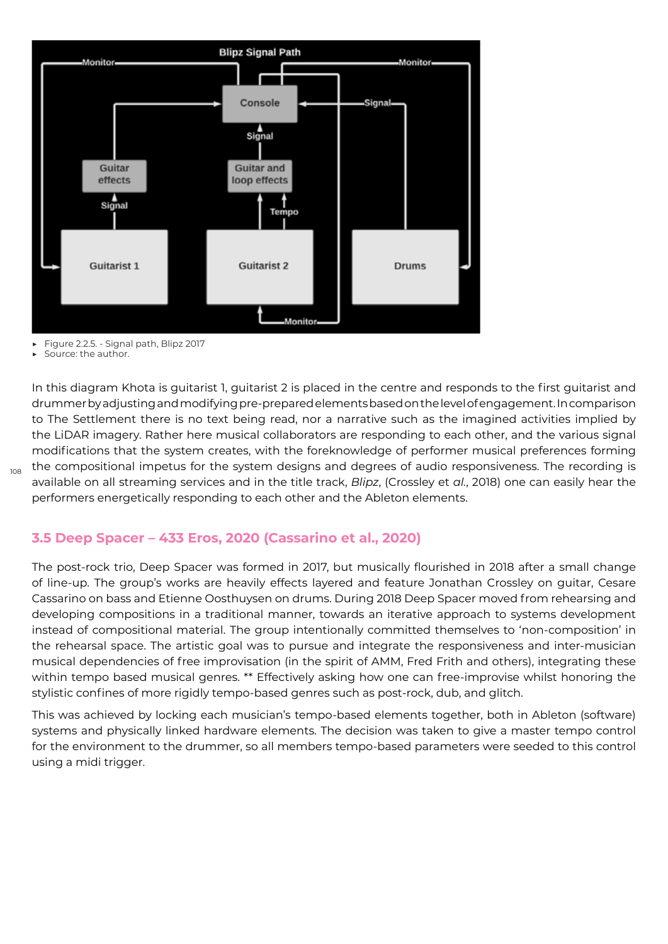

▶ Figure 2.2.5. - Signal path, Blipz 2017

Source: the author.

In this diagram Khota is guitarist 1, guitarist 2 is placed in the centre and responds to the first guitarist and drummer by adjusting and modifying pre-prepared elements based on the level of engagement. In comparison to The Settlement there is no text being read, nor a narrative such as the imagined activities implied by the LiDAR imagery. Rather here musical collaborators are responding to each other, and the various signal modifications that the system creates, with the foreknowledge of performer musical preferences forming the compositional impetus for the system designs and degrees of audio responsiveness. The recording is available on all streaming services and in the title track, *Blipz*, (Crossley et *al.*, 2018) one can easily hear the performers energetically responding to each other and the Ableton elements.

### **3.5 Deep Spacer – 433 Eros, 2020 (Cassarino et al., 2020)**

The post-rock trio, Deep Spacer was formed in 2017, but musically flourished in 2018 after a small change of line-up. The group's works are heavily effects layered and feature Jonathan Crossley on guitar, Cesare Cassarino on bass and Etienne Oosthuysen on drums. During 2018 Deep Spacer moved from rehearsing and developing compositions in a traditional manner, towards an iterative approach to systems development instead of compositional material. The group intentionally committed themselves to 'non-composition' in the rehearsal space. The artistic goal was to pursue and integrate the responsiveness and inter-musician musical dependencies of free improvisation (in the spirit of AMM, Fred Frith and others), integrating these within tempo based musical genres. \*\* Effectively asking how one can free-improvise whilst honoring the stylistic confines of more rigidly tempo-based genres such as post-rock, dub, and glitch.

This was achieved by locking each musician's tempo-based elements together, both in Ableton (software) systems and physically linked hardware elements. The decision was taken to give a master tempo control for the environment to the drummer, so all members tempo-based parameters were seeded to this control using a midi trigger.

108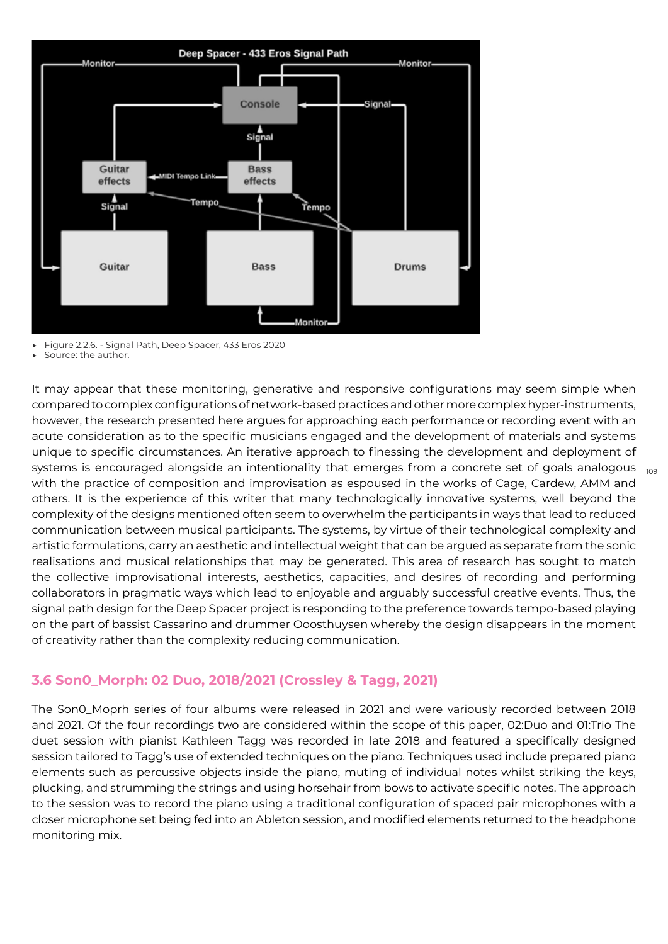

Figure 2.2.6. - Signal Path, Deep Spacer, 433 Eros 2020

Source: the author.

systems is encouraged alongside an intentionality that emerges from a concrete set of goals analogous  $_{\,109}$ It may appear that these monitoring, generative and responsive configurations may seem simple when compared to complex configurations of network-based practices and other more complex hyper-instruments, however, the research presented here argues for approaching each performance or recording event with an acute consideration as to the specific musicians engaged and the development of materials and systems unique to specific circumstances. An iterative approach to finessing the development and deployment of with the practice of composition and improvisation as espoused in the works of Cage, Cardew, AMM and others. It is the experience of this writer that many technologically innovative systems, well beyond the complexity of the designs mentioned often seem to overwhelm the participants in ways that lead to reduced communication between musical participants. The systems, by virtue of their technological complexity and artistic formulations, carry an aesthetic and intellectual weight that can be argued as separate from the sonic realisations and musical relationships that may be generated. This area of research has sought to match the collective improvisational interests, aesthetics, capacities, and desires of recording and performing collaborators in pragmatic ways which lead to enjoyable and arguably successful creative events. Thus, the signal path design for the Deep Spacer project is responding to the preference towards tempo-based playing on the part of bassist Cassarino and drummer Ooosthuysen whereby the design disappears in the moment of creativity rather than the complexity reducing communication.

### **3.6 Son0\_Morph: 02 Duo, 2018/2021 (Crossley & Tagg, 2021)**

The Son0\_Moprh series of four albums were released in 2021 and were variously recorded between 2018 and 2021. Of the four recordings two are considered within the scope of this paper, 02:Duo and 01:Trio The duet session with pianist Kathleen Tagg was recorded in late 2018 and featured a specifically designed session tailored to Tagg's use of extended techniques on the piano. Techniques used include prepared piano elements such as percussive objects inside the piano, muting of individual notes whilst striking the keys, plucking, and strumming the strings and using horsehair from bows to activate specific notes. The approach to the session was to record the piano using a traditional configuration of spaced pair microphones with a closer microphone set being fed into an Ableton session, and modified elements returned to the headphone monitoring mix.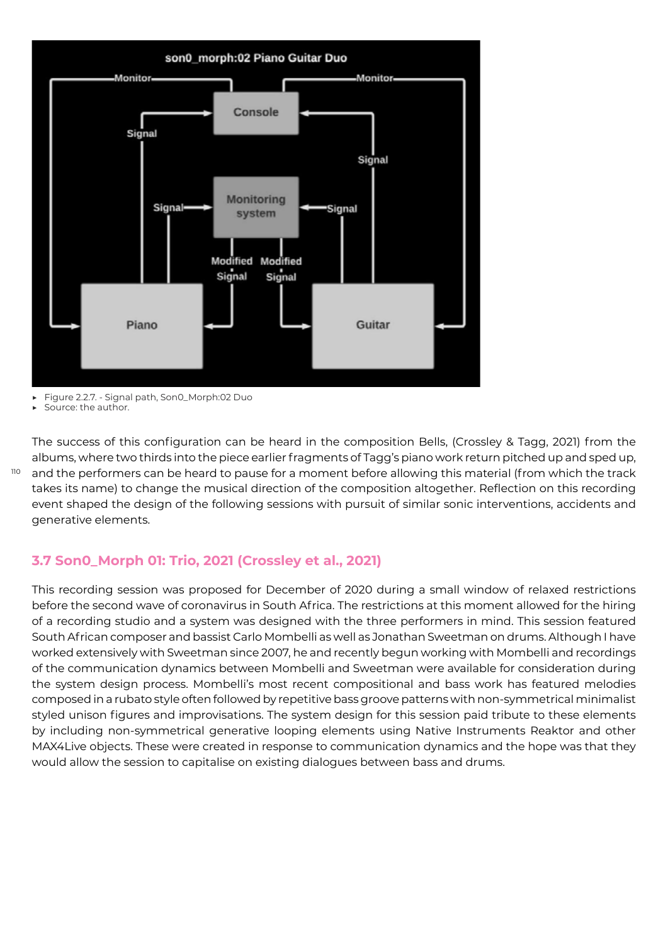

<sup>▶</sup> Figure 2.2.7. - Signal path, Son0\_Morph:02 Duo

Source: the author.

The success of this configuration can be heard in the composition Bells, (Crossley & Tagg, 2021) from the albums, where two thirds into the piece earlier fragments of Tagg's piano work return pitched up and sped up, and the performers can be heard to pause for a moment before allowing this material (from which the track takes its name) to change the musical direction of the composition altogether. Reflection on this recording event shaped the design of the following sessions with pursuit of similar sonic interventions, accidents and generative elements.

#### **3.7 Son0\_Morph 01: Trio, 2021 (Crossley et al., 2021)**

This recording session was proposed for December of 2020 during a small window of relaxed restrictions before the second wave of coronavirus in South Africa. The restrictions at this moment allowed for the hiring of a recording studio and a system was designed with the three performers in mind. This session featured South African composer and bassist Carlo Mombelli as well as Jonathan Sweetman on drums. Although I have worked extensively with Sweetman since 2007, he and recently begun working with Mombelli and recordings of the communication dynamics between Mombelli and Sweetman were available for consideration during the system design process. Mombelli's most recent compositional and bass work has featured melodies composed in a rubato style often followed by repetitive bass groove patterns with non-symmetrical minimalist styled unison figures and improvisations. The system design for this session paid tribute to these elements by including non-symmetrical generative looping elements using Native Instruments Reaktor and other MAX4Live objects. These were created in response to communication dynamics and the hope was that they would allow the session to capitalise on existing dialogues between bass and drums.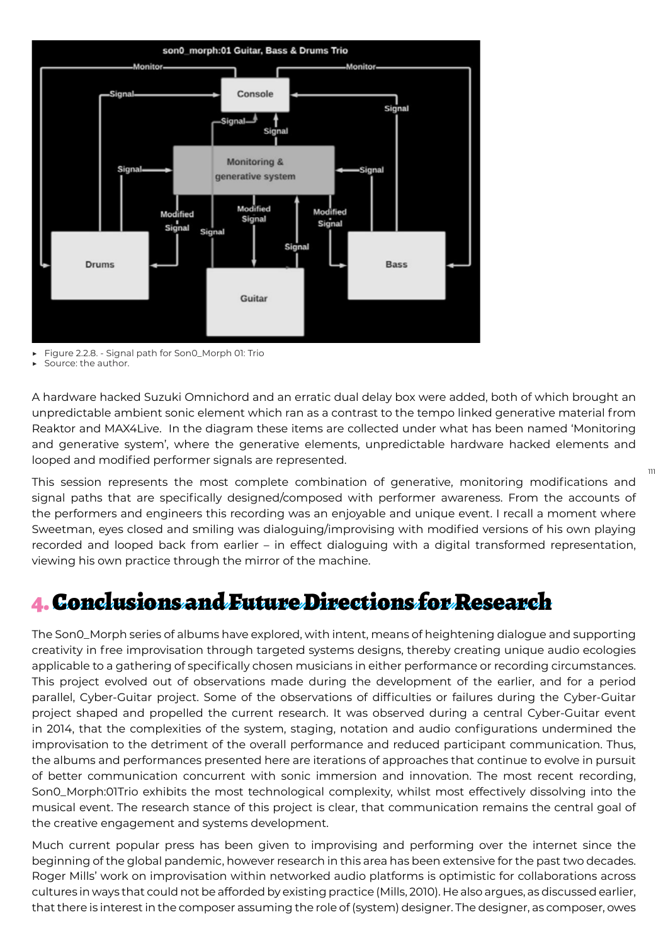

Figure 2.2.8. - Signal path for Son0\_Morph 01: Trio

Source: the author.

A hardware hacked Suzuki Omnichord and an erratic dual delay box were added, both of which brought an unpredictable ambient sonic element which ran as a contrast to the tempo linked generative material from Reaktor and MAX4Live. In the diagram these items are collected under what has been named 'Monitoring and generative system', where the generative elements, unpredictable hardware hacked elements and looped and modified performer signals are represented.

This session represents the most complete combination of generative, monitoring modifications and signal paths that are specifically designed/composed with performer awareness. From the accounts of the performers and engineers this recording was an enjoyable and unique event. I recall a moment where Sweetman, eyes closed and smiling was dialoguing/improvising with modified versions of his own playing recorded and looped back from earlier – in effect dialoguing with a digital transformed representation, viewing his own practice through the mirror of the machine.

# 4. Conclusions and Future Directions for Research

The Son0\_Morph series of albums have explored, with intent, means of heightening dialogue and supporting creativity in free improvisation through targeted systems designs, thereby creating unique audio ecologies applicable to a gathering of specifically chosen musicians in either performance or recording circumstances. This project evolved out of observations made during the development of the earlier, and for a period parallel, Cyber-Guitar project. Some of the observations of difficulties or failures during the Cyber-Guitar project shaped and propelled the current research. It was observed during a central Cyber-Guitar event in 2014, that the complexities of the system, staging, notation and audio configurations undermined the improvisation to the detriment of the overall performance and reduced participant communication. Thus, the albums and performances presented here are iterations of approaches that continue to evolve in pursuit of better communication concurrent with sonic immersion and innovation. The most recent recording, Son0\_Morph:01Trio exhibits the most technological complexity, whilst most effectively dissolving into the musical event. The research stance of this project is clear, that communication remains the central goal of the creative engagement and systems development.

Much current popular press has been given to improvising and performing over the internet since the beginning of the global pandemic, however research in this area has been extensive for the past two decades. Roger Mills' work on improvisation within networked audio platforms is optimistic for collaborations across cultures in ways that could not be afforded by existing practice (Mills, 2010). He also argues, as discussed earlier, that there is interest in the composer assuming the role of (system) designer. The designer, as composer, owes

111